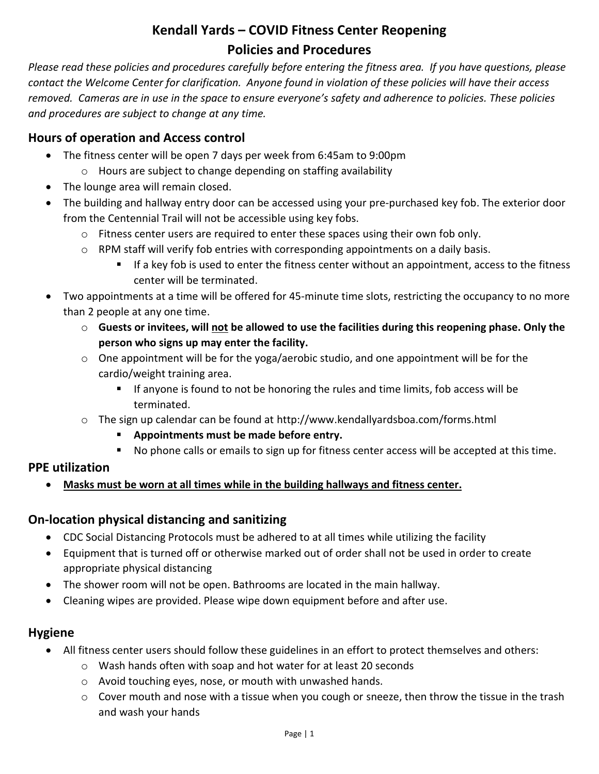# **Kendall Yards – COVID Fitness Center Reopening Policies and Procedures**

*Please read these policies and procedures carefully before entering the fitness area. If you have questions, please contact the Welcome Center for clarification. Anyone found in violation of these policies will have their access removed. Cameras are in use in the space to ensure everyone's safety and adherence to policies. These policies and procedures are subject to change at any time.*

## **Hours of operation and Access control**

- The fitness center will be open 7 days per week from 6:45am to 9:00pm
	- o Hours are subject to change depending on staffing availability
- The lounge area will remain closed.
- The building and hallway entry door can be accessed using your pre-purchased key fob. The exterior door from the Centennial Trail will not be accessible using key fobs.
	- $\circ$  Fitness center users are required to enter these spaces using their own fob only.
	- $\circ$  RPM staff will verify fob entries with corresponding appointments on a daily basis.
		- If a key fob is used to enter the fitness center without an appointment, access to the fitness center will be terminated.
- Two appointments at a time will be offered for 45-minute time slots, restricting the occupancy to no more than 2 people at any one time.
	- o **Guests or invitees, will not be allowed to use the facilities during this reopening phase. Only the person who signs up may enter the facility.**
	- $\circ$  One appointment will be for the yoga/aerobic studio, and one appointment will be for the cardio/weight training area.
		- If anyone is found to not be honoring the rules and time limits, fob access will be terminated.
	- o The sign up calendar can be found at http://www.kendallyardsboa.com/forms.html
		- **Appointments must be made before entry.**
		- No phone calls or emails to sign up for fitness center access will be accepted at this time.

## **PPE utilization**

**Masks must be worn at all times while in the building hallways and fitness center.**

## **On-location physical distancing and sanitizing**

- CDC Social Distancing Protocols must be adhered to at all times while utilizing the facility
- Equipment that is turned off or otherwise marked out of order shall not be used in order to create appropriate physical distancing
- The shower room will not be open. Bathrooms are located in the main hallway.
- Cleaning wipes are provided. Please wipe down equipment before and after use.

### **Hygiene**

- All fitness center users should follow these guidelines in an effort to protect themselves and others:
	- o Wash hands often with soap and hot water for at least 20 seconds
	- o Avoid touching eyes, nose, or mouth with unwashed hands.
	- $\circ$  Cover mouth and nose with a tissue when you cough or sneeze, then throw the tissue in the trash and wash your hands